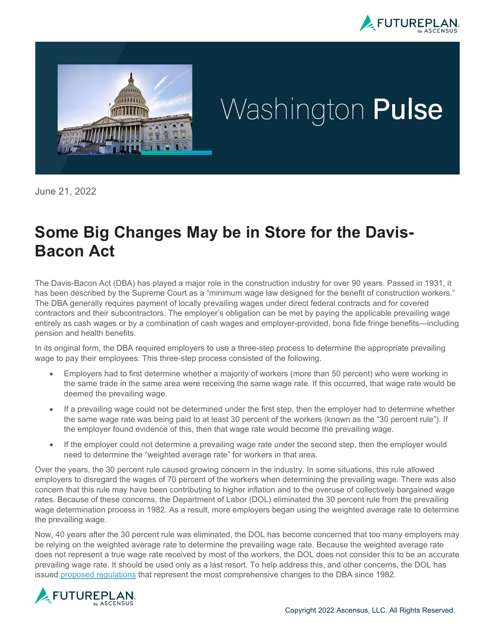



# Washington Pulse

June 21, 2022

# **Some Big Changes May be in Store for the Davis-Bacon Act**

The Davis-Bacon Act (DBA) has played a major role in the construction industry for over 90 years. Passed in 1931, it has been described by the Supreme Court as a "minimum wage law designed for the benefit of construction workers." The DBA generally requires payment of locally prevailing wages under direct federal contracts and for covered contractors and their subcontractors. The employer's obligation can be met by paying the applicable prevailing wage entirely as cash wages or by a combination of cash wages and employer-provided, bona fide fringe benefits—including pension and health benefits.

In its original form, the DBA required employers to use a three-step process to determine the appropriate prevailing wage to pay their employees. This three-step process consisted of the following.

- Employers had to first determine whether a majority of workers (more than 50 percent) who were working in the same trade in the same area were receiving the same wage rate. If this occurred, that wage rate would be deemed the prevailing wage.
- If a prevailing wage could not be determined under the first step, then the employer had to determine whether the same wage rate was being paid to at least 30 percent of the workers (known as the "30 percent rule"). If the employer found evidence of this, then that wage rate would become the prevailing wage.
- If the employer could not determine a prevailing wage rate under the second step, then the employer would need to determine the "weighted average rate" for workers in that area.

Over the years, the 30 percent rule caused growing concern in the industry. In some situations, this rule allowed employers to disregard the wages of 70 percent of the workers when determining the prevailing wage. There was also concern that this rule may have been contributing to higher inflation and to the overuse of collectively bargained wage rates. Because of these concerns, the Department of Labor (DOL) eliminated the 30 percent rule from the prevailing wage determination process in 1982. As a result, more employers began using the weighted average rate to determine the prevailing wage.

Now, 40 years after the 30 percent rule was eliminated, the DOL has become concerned that too many employers may be relying on the weighted average rate to determine the prevailing wage rate. Because the weighted average rate does not represent a true wage rate received by most of the workers, the DOL does not consider this to be an accurate prevailing wage rate. It should be used only as a last resort. To help address this, and other concerns, the DOL has issued [proposed regulations](https://www.dol.gov/sites/dolgov/files/WHD/government-contracts/WHD-1235-AA40-NPRM.pdf) that represent the most comprehensive changes to the DBA since 1982.

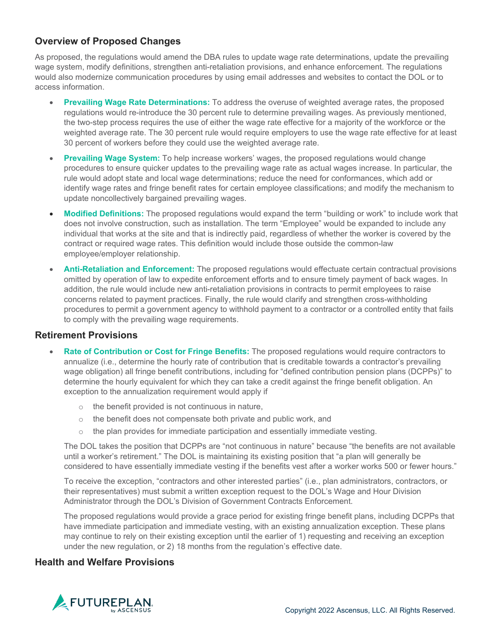## **Overview of Proposed Changes**

As proposed, the regulations would amend the DBA rules to update wage rate determinations, update the prevailing wage system, modify definitions, strengthen anti-retaliation provisions, and enhance enforcement. The regulations would also modernize communication procedures by using email addresses and websites to contact the DOL or to access information.

- **Prevailing Wage Rate Determinations:** To address the overuse of weighted average rates, the proposed regulations would re-introduce the 30 percent rule to determine prevailing wages. As previously mentioned, the two-step process requires the use of either the wage rate effective for a majority of the workforce or the weighted average rate. The 30 percent rule would require employers to use the wage rate effective for at least 30 percent of workers before they could use the weighted average rate.
- **Prevailing Wage System:** To help increase workers' wages, the proposed regulations would change procedures to ensure quicker updates to the prevailing wage rate as actual wages increase. In particular, the rule would adopt state and local wage determinations; reduce the need for conformances, which add or identify wage rates and fringe benefit rates for certain employee classifications; and modify the mechanism to update noncollectively bargained prevailing wages.
- **Modified Definitions:** The proposed regulations would expand the term "building or work" to include work that does not involve construction, such as installation. The term "Employee" would be expanded to include any individual that works at the site and that is indirectly paid, regardless of whether the worker is covered by the contract or required wage rates. This definition would include those outside the common-law employee/employer relationship.
- **Anti-Retaliation and Enforcement:** The proposed regulations would effectuate certain contractual provisions omitted by operation of law to expedite enforcement efforts and to ensure timely payment of back wages. In addition, the rule would include new anti-retaliation provisions in contracts to permit employees to raise concerns related to payment practices. Finally, the rule would clarify and strengthen cross-withholding procedures to permit a government agency to withhold payment to a contractor or a controlled entity that fails to comply with the prevailing wage requirements.

#### **Retirement Provisions**

- **Rate of Contribution or Cost for Fringe Benefits:** The proposed regulations would require contractors to annualize (i.e., determine the hourly rate of contribution that is creditable towards a contractor's prevailing wage obligation) all fringe benefit contributions, including for "defined contribution pension plans (DCPPs)" to determine the hourly equivalent for which they can take a credit against the fringe benefit obligation. An exception to the annualization requirement would apply if
	- the benefit provided is not continuous in nature,
	- o the benefit does not compensate both private and public work, and
	- $\circ$  the plan provides for immediate participation and essentially immediate vesting.

The DOL takes the position that DCPPs are "not continuous in nature" because "the benefits are not available until a worker's retirement." The DOL is maintaining its existing position that "a plan will generally be considered to have essentially immediate vesting if the benefits vest after a worker works 500 or fewer hours."

To receive the exception, "contractors and other interested parties" (i.e., plan administrators, contractors, or their representatives) must submit a written exception request to the DOL's Wage and Hour Division Administrator through the DOL's Division of Government Contracts Enforcement.

The proposed regulations would provide a grace period for existing fringe benefit plans, including DCPPs that have immediate participation and immediate vesting, with an existing annualization exception. These plans may continue to rely on their existing exception until the earlier of 1) requesting and receiving an exception under the new regulation, or 2) 18 months from the regulation's effective date.

#### **Health and Welfare Provisions**